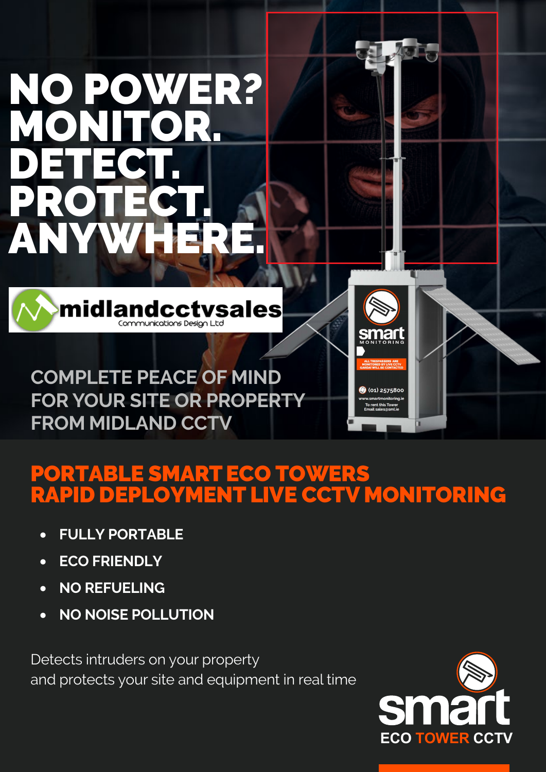# NO POWER? MONITOR. DETECT. PR ANYWHERE.



**COMPLETE PEACE OF MIND FOR YOUR SITE OR PROPERTY FROM MIDLAND CCTV** 

### PORTABLE SMARTECO TOWERS RAPID DEPLOYMENT LIVE CCTV MONITORING

- **FULLY PORTABLE**
- **ECO FRIENDLY**
- **NO REFUELING**
- **NO NOISE POLLUTION**

Detects intruders on your property and protects your site and equipment in real time



**smart** 

(01) 2575800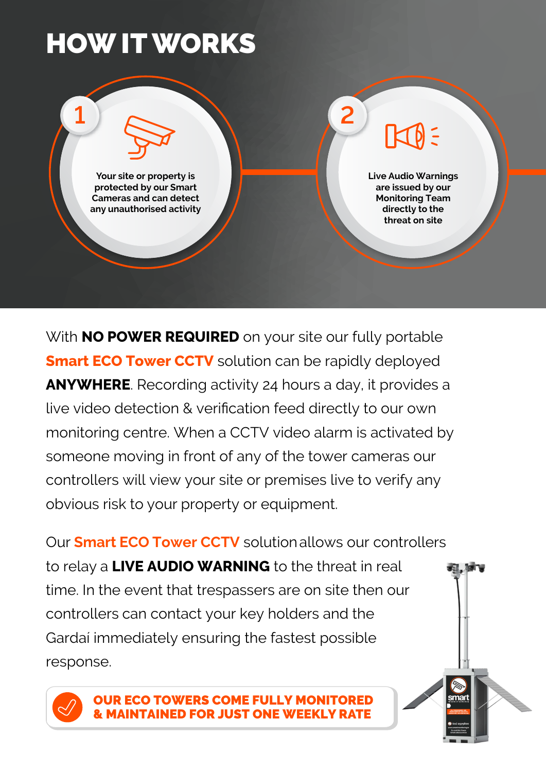## HOW IT WORKS



With **NO POWER REQUIRED** on your site our fully portable **Smart ECO Tower CCTV** solution can be rapidly deployed **ANYWHERE**. Recording activity 24 hours a day, it provides a live video detection & verification feed directly to our own monitoring centre. When a CCTV video alarm is activated by someone moving in front of any of the tower cameras our controllers will view your site or premises live to verify any obvious risk to your property or equipment.

Our **Smart ECO Tower CCTV** solution allows our controllers to relay a **LIVE AUDIO WARNING** to the threat in real time. In the event that trespassers are on site then our controllers can contact your key holders and the Gardaí immediately ensuring the fastest possible response.



OUR ECO TOWERS COME FULLY MONITORED **MAINTAINED FOR JUST ONE WEEKLY RATE**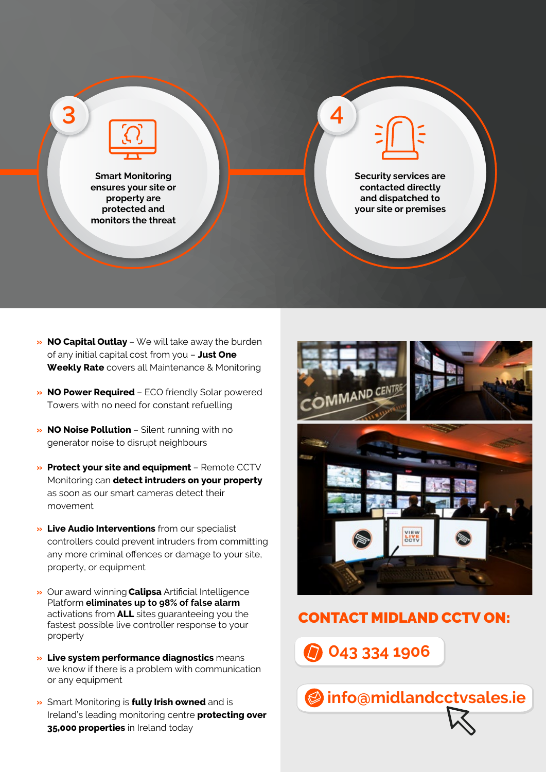

- **» NO Capital Outlay**  We will take away the burden of any initial capital cost from you – **Just One Weekly Rate** covers all Maintenance & Monitoring
- **» NO Power Required**  ECO friendly Solar powered Towers with no need for constant refuelling
- **» NO Noise Pollution**  Silent running with no generator noise to disrupt neighbours
- **» Protect your site and equipment**  Remote CCTV Monitoring can **detect intruders on your property** as soon as our smart cameras detect their movement
- **» Live Audio Interventions** from our specialist controllers could prevent intruders from committing any more criminal offences or damage to your site, property, or equipment
- **»** Our award winning **Calipsa** Artificial Intelligence Platform **eliminates up to 98% of false alarm** activations from **ALL** sites guaranteeing you the fastest possible live controller response to your property
- **» Live system performance diagnostics** means we know if there is a problem with communication or any equipment
- **»** Smart Monitoring is **fully Irish owned** and is Ireland's leading monitoring centre **protecting over 35,000 properties** in Ireland today



#### CONTACT MIDLAND CCTV ON:

**info@midlandcctvsales.ie**

 **043 334 1906**